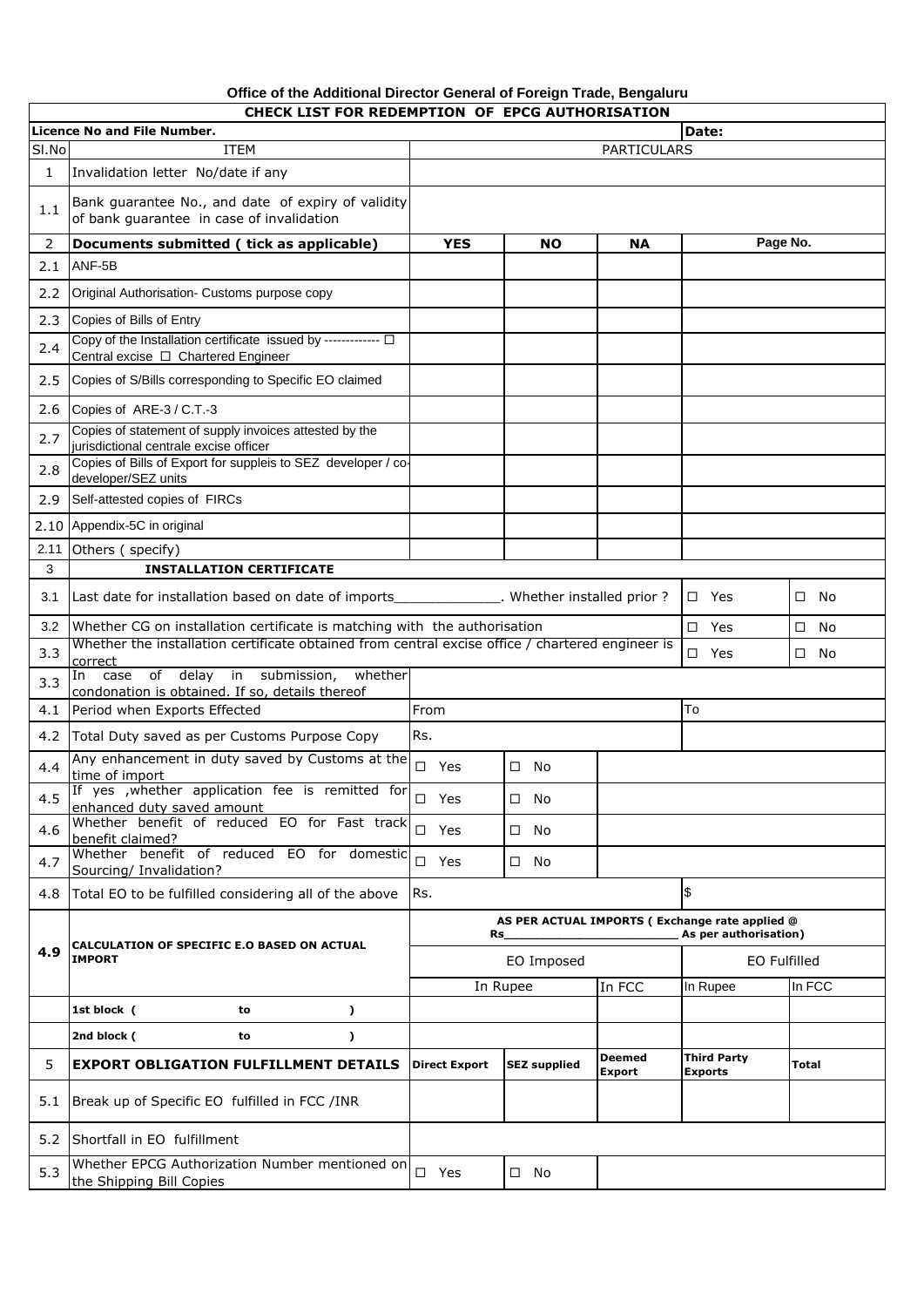## **Office of the Additional Director General of Foreign Trade, Bengaluru CHECK LIST FOR REDEMPTION OF EPCG AUTHORISATION**

|       | CHECK LIST FOR REDEMPTION OF EPCG AUTHORISATION<br>Licence No and File Number.<br>Date:                     |                                                       |                     |                         |                               |         |  |
|-------|-------------------------------------------------------------------------------------------------------------|-------------------------------------------------------|---------------------|-------------------------|-------------------------------|---------|--|
| SI.No | <b>ITEM</b>                                                                                                 | <b>PARTICULARS</b>                                    |                     |                         |                               |         |  |
| 1     | Invalidation letter No/date if any                                                                          |                                                       |                     |                         |                               |         |  |
| 1.1   | Bank guarantee No., and date of expiry of validity<br>of bank quarantee in case of invalidation             |                                                       |                     |                         |                               |         |  |
| 2     | Documents submitted ( tick as applicable)                                                                   | <b>YES</b>                                            | <b>NO</b>           | ΝA                      | Page No.                      |         |  |
| 2.1   | ANF-5B                                                                                                      |                                                       |                     |                         |                               |         |  |
| 2.2   | Original Authorisation- Customs purpose copy                                                                |                                                       |                     |                         |                               |         |  |
| 2.3   | Copies of Bills of Entry                                                                                    |                                                       |                     |                         |                               |         |  |
| 2.4   | Copy of the Installation certificate issued by ------------- $\Box$<br>Central excise □ Chartered Engineer  |                                                       |                     |                         |                               |         |  |
| 2.5   | Copies of S/Bills corresponding to Specific EO claimed                                                      |                                                       |                     |                         |                               |         |  |
| 2.6   | Copies of ARE-3 / C.T.-3                                                                                    |                                                       |                     |                         |                               |         |  |
| 2.7   | Copies of statement of supply invoices attested by the<br>jurisdictional centrale excise officer            |                                                       |                     |                         |                               |         |  |
| 2.8   | Copies of Bills of Export for suppleis to SEZ developer / co-<br>developer/SEZ units                        |                                                       |                     |                         |                               |         |  |
| 2.9   | Self-attested copies of FIRCs                                                                               |                                                       |                     |                         |                               |         |  |
| 2.10  | Appendix-5C in original                                                                                     |                                                       |                     |                         |                               |         |  |
| 2.11  | Others (specify)                                                                                            |                                                       |                     |                         |                               |         |  |
| 3     | <b>INSTALLATION CERTIFICATE</b>                                                                             |                                                       |                     |                         |                               |         |  |
| 3.1   | Last date for installation based on date of imports_______________. Whether installed prior?                |                                                       |                     |                         | $\square$ Yes                 | No<br>□ |  |
| 3.2   | Whether CG on installation certificate is matching with the authorisation                                   |                                                       |                     |                         | $\square$ Yes                 | □<br>No |  |
| 3.3   | Whether the installation certificate obtained from central excise office / chartered engineer is<br>correct | No<br>$\square$ Yes<br>□                              |                     |                         |                               |         |  |
| 3.3   | case of delay in submission,<br>whether<br>In<br>condonation is obtained. If so, details thereof            |                                                       |                     |                         |                               |         |  |
| 4.1   | Period when Exports Effected                                                                                | To<br>From                                            |                     |                         |                               |         |  |
| 4.2   | Total Duty saved as per Customs Purpose Copy                                                                | Rs.                                                   |                     |                         |                               |         |  |
| 4.4   | Any enhancement in duty saved by Customs at the<br>time of import                                           | $\square$ Yes                                         | $\square$ No        |                         |                               |         |  |
| 4.5   | If yes , whether application fee is remitted for<br>enhanced duty saved amount                              | $\square$ Yes                                         | $\square$ No        |                         |                               |         |  |
| 4.6   | Whether benefit of reduced EO for Fast track<br>benefit claimed?                                            | $\square$ Yes                                         | No<br>□             |                         |                               |         |  |
| 4.7   | Whether benefit of reduced EO for domestic<br>Sourcing/ Invalidation?                                       | $\square$ Yes                                         | $\square$ No        |                         |                               |         |  |
| 4.8   | Total EO to be fulfilled considering all of the above                                                       | \$<br>Rs.                                             |                     |                         |                               |         |  |
|       | CALCULATION OF SPECIFIC E.O BASED ON ACTUAL<br><b>IMPORT</b>                                                | AS PER ACTUAL IMPORTS (Exchange rate applied @<br>Rs_ |                     |                         | As per authorisation)         |         |  |
| 4.9   |                                                                                                             | EO Imposed                                            |                     | EO Fulfilled            |                               |         |  |
|       |                                                                                                             | In Rupee                                              |                     | In FCC                  | In Rupee                      | In FCC  |  |
|       | 1st block (<br>to<br>$\lambda$                                                                              |                                                       |                     |                         |                               |         |  |
|       | 2nd block (<br>to<br>$\lambda$                                                                              |                                                       |                     |                         |                               |         |  |
| 5     | <b>EXPORT OBLIGATION FULFILLMENT DETAILS</b>                                                                | <b>Direct Export</b>                                  | <b>SEZ supplied</b> | <b>Deemed</b><br>Export | <b>Third Party</b><br>Exports | Total   |  |
| 5.1   | Break up of Specific EO fulfilled in FCC /INR                                                               |                                                       |                     |                         |                               |         |  |
| 5.2   | Shortfall in EO fulfillment                                                                                 |                                                       |                     |                         |                               |         |  |
| 5.3   | Whether EPCG Authorization Number mentioned on<br>the Shipping Bill Copies                                  | $\square$ Yes                                         | $\square$ No        |                         |                               |         |  |